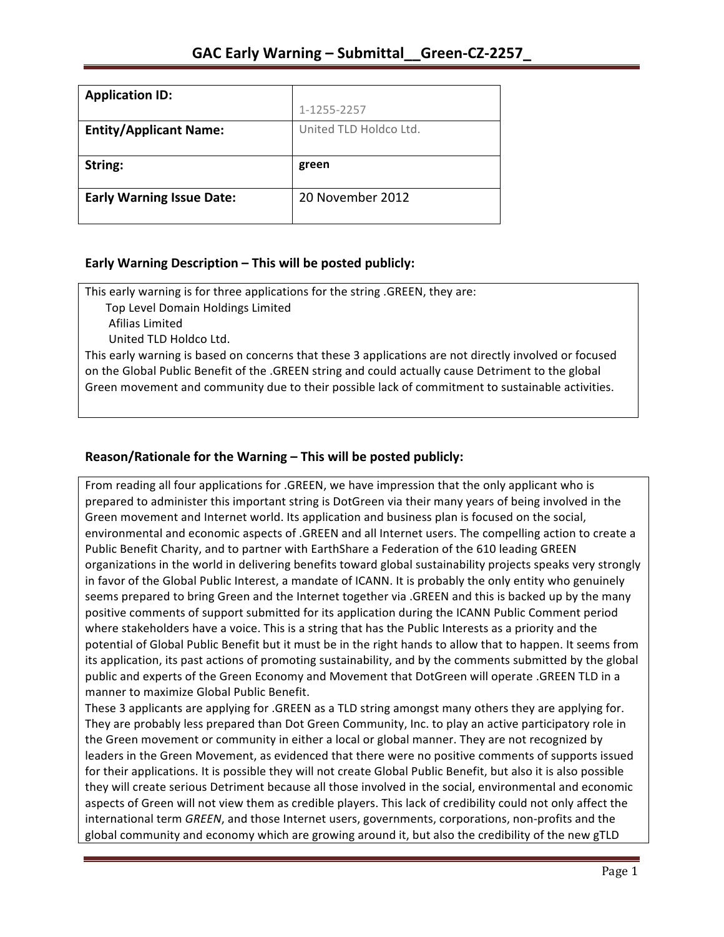| <b>Application ID:</b>           |                        |
|----------------------------------|------------------------|
|                                  | 1-1255-2257            |
| <b>Entity/Applicant Name:</b>    | United TLD Holdco Ltd. |
|                                  |                        |
|                                  |                        |
| String:                          | green                  |
|                                  |                        |
| <b>Early Warning Issue Date:</b> | 20 November 2012       |

### **Early Warning Description – This will be posted publicly:**

This early warning is for three applications for the string .GREEN, they are:

Top Level Domain Holdings Limited

 Afilias Limited

United TLD Holdco Ltd.

This early warning is based on concerns that these 3 applications are not directly involved or focused on the Global Public Benefit of the .GREEN string and could actually cause Detriment to the global Green movement and community due to their possible lack of commitment to sustainable activities.

## **Reason/Rationale for the Warning – This will be posted publicly:**

From reading all four applications for .GREEN, we have impression that the only applicant who is prepared to administer this important string is DotGreen via their many years of being involved in the Green movement and Internet world. Its application and business plan is focused on the social, environmental and economic aspects of .GREEN and all Internet users. The compelling action to create a Public Benefit Charity, and to partner with EarthShare a Federation of the 610 leading GREEN organizations in the world in delivering benefits toward global sustainability projects speaks very strongly in favor of the Global Public Interest, a mandate of ICANN. It is probably the only entity who genuinely seems prepared to bring Green and the Internet together via .GREEN and this is backed up by the many positive comments of support submitted for its application during the ICANN Public Comment period where stakeholders have a voice. This is a string that has the Public Interests as a priority and the potential of Global Public Benefit but it must be in the right hands to allow that to happen. It seems from its application, its past actions of promoting sustainability, and by the comments submitted by the global public and experts of the Green Economy and Movement that DotGreen will operate .GREEN TLD in a manner to maximize Global Public Benefit.

These 3 applicants are applying for .GREEN as a TLD string amongst many others they are applying for. They are probably less prepared than Dot Green Community, Inc. to play an active participatory role in the Green movement or community in either a local or global manner. They are not recognized by leaders in the Green Movement, as evidenced that there were no positive comments of supports issued for their applications. It is possible they will not create Global Public Benefit, but also it is also possible they will create serious Detriment because all those involved in the social, environmental and economic aspects of Green will not view them as credible players. This lack of credibility could not only affect the international term *GREEN*, and those Internet users, governments, corporations, non-profits and the global community and economy which are growing around it, but also the credibility of the new gTLD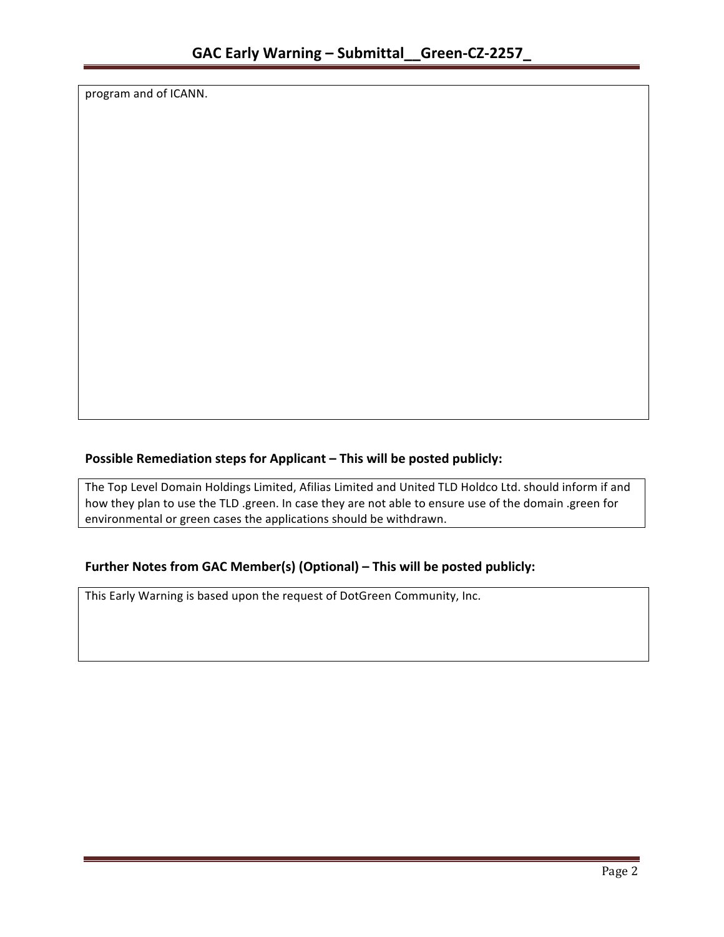program and of ICANN.

## **Possible Remediation steps for Applicant – This will be posted publicly:**

The Top Level Domain Holdings Limited, Afilias Limited and United TLD Holdco Ltd. should inform if and how they plan to use the TLD .green. In case they are not able to ensure use of the domain .green for environmental or green cases the applications should be withdrawn.

### **Further Notes from GAC Member(s) (Optional) – This will be posted publicly:**

This Early Warning is based upon the request of DotGreen Community, Inc.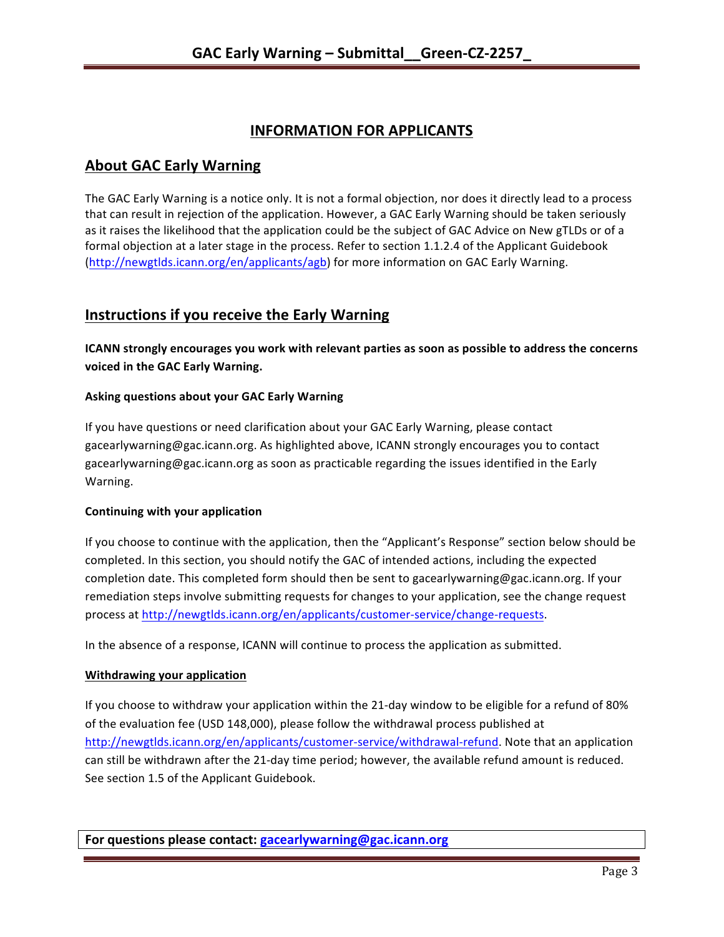# **INFORMATION FOR APPLICANTS**

## **About GAC Early Warning**

The GAC Early Warning is a notice only. It is not a formal objection, nor does it directly lead to a process that can result in rejection of the application. However, a GAC Early Warning should be taken seriously as it raises the likelihood that the application could be the subject of GAC Advice on New gTLDs or of a formal objection at a later stage in the process. Refer to section 1.1.2.4 of the Applicant Guidebook (http://newgtlds.icann.org/en/applicants/agb) for more information on GAC Early Warning.

# **Instructions if you receive the Early Warning**

**ICANN** strongly encourages you work with relevant parties as soon as possible to address the concerns **voiced in the GAC Early Warning.** 

### **Asking questions about your GAC Early Warning**

If you have questions or need clarification about your GAC Early Warning, please contact gacearlywarning@gac.icann.org. As highlighted above, ICANN strongly encourages you to contact gacearlywarning@gac.icann.org as soon as practicable regarding the issues identified in the Early Warning. 

### **Continuing with your application**

If you choose to continue with the application, then the "Applicant's Response" section below should be completed. In this section, you should notify the GAC of intended actions, including the expected completion date. This completed form should then be sent to gacearlywarning@gac.icann.org. If your remediation steps involve submitting requests for changes to your application, see the change request process at http://newgtlds.icann.org/en/applicants/customer-service/change-requests.

In the absence of a response, ICANN will continue to process the application as submitted.

### **Withdrawing your application**

If you choose to withdraw your application within the 21-day window to be eligible for a refund of 80% of the evaluation fee (USD 148,000), please follow the withdrawal process published at http://newgtlds.icann.org/en/applicants/customer-service/withdrawal-refund. Note that an application can still be withdrawn after the 21-day time period; however, the available refund amount is reduced. See section 1.5 of the Applicant Guidebook.

**For questions please contact: gacearlywarning@gac.icann.org**